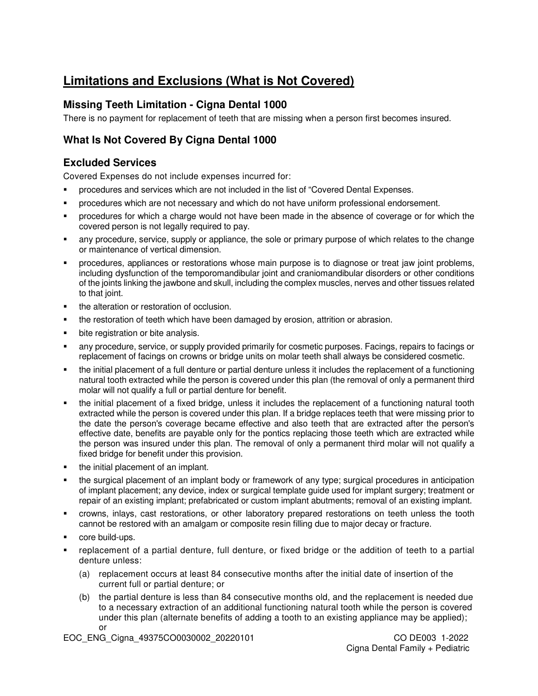# **Limitations and Exclusions (What is Not Covered)**

#### **Missing Teeth Limitation - Cigna Dental 1000**

There is no payment for replacement of teeth that are missing when a person first becomes insured.

## **What Is Not Covered By Cigna Dental 1000**

#### **Excluded Services**

Covered Expenses do not include expenses incurred for:

- procedures and services which are not included in the list of "Covered Dental Expenses.
- **•** procedures which are not necessary and which do not have uniform professional endorsement.
- procedures for which a charge would not have been made in the absence of coverage or for which the covered person is not legally required to pay.
- any procedure, service, supply or appliance, the sole or primary purpose of which relates to the change or maintenance of vertical dimension.
- procedures, appliances or restorations whose main purpose is to diagnose or treat jaw joint problems, including dysfunction of the temporomandibular joint and craniomandibular disorders or other conditions of the joints linking the jawbone and skull, including the complex muscles, nerves and other tissues related to that joint.
- the alteration or restoration of occlusion.
- the restoration of teeth which have been damaged by erosion, attrition or abrasion.
- **•** bite registration or bite analysis.
- any procedure, service, or supply provided primarily for cosmetic purposes. Facings, repairs to facings or replacement of facings on crowns or bridge units on molar teeth shall always be considered cosmetic.
- the initial placement of a full denture or partial denture unless it includes the replacement of a functioning natural tooth extracted while the person is covered under this plan (the removal of only a permanent third molar will not qualify a full or partial denture for benefit.
- the initial placement of a fixed bridge, unless it includes the replacement of a functioning natural tooth extracted while the person is covered under this plan. If a bridge replaces teeth that were missing prior to the date the person's coverage became effective and also teeth that are extracted after the person's effective date, benefits are payable only for the pontics replacing those teeth which are extracted while the person was insured under this plan. The removal of only a permanent third molar will not qualify a fixed bridge for benefit under this provision.
- the initial placement of an implant.
- the surgical placement of an implant body or framework of any type; surgical procedures in anticipation of implant placement; any device, index or surgical template guide used for implant surgery; treatment or repair of an existing implant; prefabricated or custom implant abutments; removal of an existing implant.
- crowns, inlays, cast restorations, or other laboratory prepared restorations on teeth unless the tooth cannot be restored with an amalgam or composite resin filling due to major decay or fracture.
- core build-ups.
- replacement of a partial denture, full denture, or fixed bridge or the addition of teeth to a partial denture unless:
	- (a) replacement occurs at least 84 consecutive months after the initial date of insertion of the current full or partial denture; or
	- (b) the partial denture is less than 84 consecutive months old, and the replacement is needed due to a necessary extraction of an additional functioning natural tooth while the person is covered under this plan (alternate benefits of adding a tooth to an existing appliance may be applied); or

EOC\_ENG\_Cigna\_49375CO0030002\_20220101 CO DE003 1-2022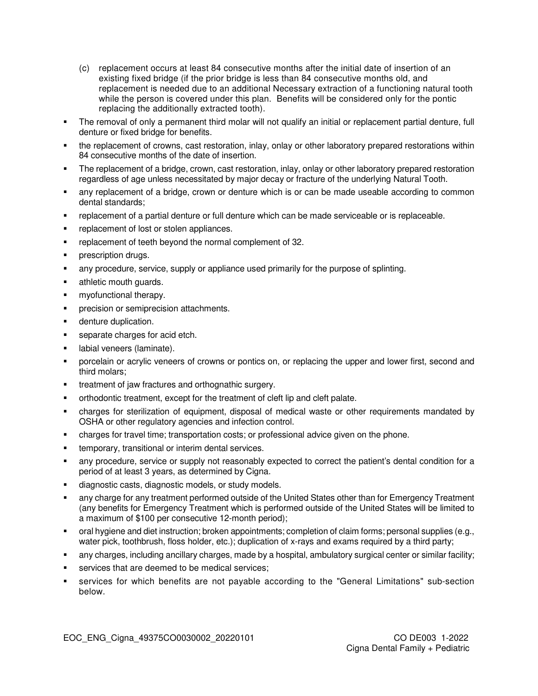- (c) replacement occurs at least 84 consecutive months after the initial date of insertion of an existing fixed bridge (if the prior bridge is less than 84 consecutive months old, and replacement is needed due to an additional Necessary extraction of a functioning natural tooth while the person is covered under this plan. Benefits will be considered only for the pontic replacing the additionally extracted tooth).
- The removal of only a permanent third molar will not qualify an initial or replacement partial denture, full denture or fixed bridge for benefits.
- the replacement of crowns, cast restoration, inlay, onlay or other laboratory prepared restorations within 84 consecutive months of the date of insertion.
- The replacement of a bridge, crown, cast restoration, inlay, onlay or other laboratory prepared restoration regardless of age unless necessitated by major decay or fracture of the underlying Natural Tooth.
- any replacement of a bridge, crown or denture which is or can be made useable according to common dental standards;
- replacement of a partial denture or full denture which can be made serviceable or is replaceable.
- **•** replacement of lost or stolen appliances.
- replacement of teeth beyond the normal complement of 32.
- prescription drugs.
- any procedure, service, supply or appliance used primarily for the purpose of splinting.
- **athletic mouth quards.**
- myofunctional therapy.
- precision or semiprecision attachments.
- **-** denture duplication.
- separate charges for acid etch.
- labial veneers (laminate).
- porcelain or acrylic veneers of crowns or pontics on, or replacing the upper and lower first, second and third molars;
- treatment of jaw fractures and orthognathic surgery.
- orthodontic treatment, except for the treatment of cleft lip and cleft palate.
- charges for sterilization of equipment, disposal of medical waste or other requirements mandated by OSHA or other regulatory agencies and infection control.
- charges for travel time; transportation costs; or professional advice given on the phone.
- **temporary, transitional or interim dental services.**
- any procedure, service or supply not reasonably expected to correct the patient's dental condition for a period of at least 3 years, as determined by Cigna.
- diagnostic casts, diagnostic models, or study models.
- any charge for any treatment performed outside of the United States other than for Emergency Treatment (any benefits for Emergency Treatment which is performed outside of the United States will be limited to a maximum of \$100 per consecutive 12-month period);
- oral hygiene and diet instruction; broken appointments; completion of claim forms; personal supplies (e.g., water pick, toothbrush, floss holder, etc.); duplication of x-rays and exams required by a third party;
- any charges, including ancillary charges, made by a hospital, ambulatory surgical center or similar facility;
- **services that are deemed to be medical services;**
- services for which benefits are not payable according to the "General Limitations" sub-section below.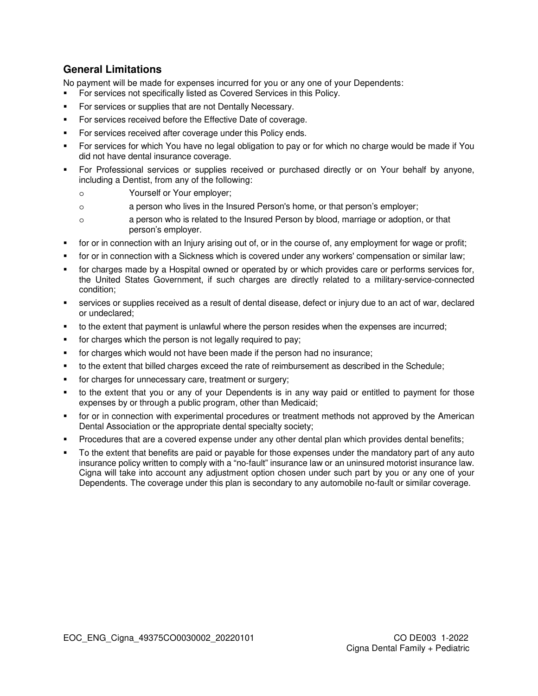#### **General Limitations**

No payment will be made for expenses incurred for you or any one of your Dependents:

- For services not specifically listed as Covered Services in this Policy.
- For services or supplies that are not Dentally Necessary.
- For services received before the Effective Date of coverage.
- For services received after coverage under this Policy ends.
- For services for which You have no legal obligation to pay or for which no charge would be made if You did not have dental insurance coverage.
- For Professional services or supplies received or purchased directly or on Your behalf by anyone, including a Dentist, from any of the following:
	- o Yourself or Your employer;
	- o a person who lives in the Insured Person's home, or that person's employer;
	- o a person who is related to the Insured Person by blood, marriage or adoption, or that person's employer.
- for or in connection with an Injury arising out of, or in the course of, any employment for wage or profit;
- for or in connection with a Sickness which is covered under any workers' compensation or similar law;
- for charges made by a Hospital owned or operated by or which provides care or performs services for, the United States Government, if such charges are directly related to a military-service-connected condition;
- services or supplies received as a result of dental disease, defect or injury due to an act of war, declared or undeclared;
- to the extent that payment is unlawful where the person resides when the expenses are incurred;
- for charges which the person is not legally required to pay;
- for charges which would not have been made if the person had no insurance;
- to the extent that billed charges exceed the rate of reimbursement as described in the Schedule;
- for charges for unnecessary care, treatment or surgery;
- to the extent that you or any of your Dependents is in any way paid or entitled to payment for those expenses by or through a public program, other than Medicaid;
- for or in connection with experimental procedures or treatment methods not approved by the American Dental Association or the appropriate dental specialty society;
- Procedures that are a covered expense under any other dental plan which provides dental benefits;
- To the extent that benefits are paid or payable for those expenses under the mandatory part of any auto insurance policy written to comply with a "no-fault" insurance law or an uninsured motorist insurance law. Cigna will take into account any adjustment option chosen under such part by you or any one of your Dependents. The coverage under this plan is secondary to any automobile no-fault or similar coverage.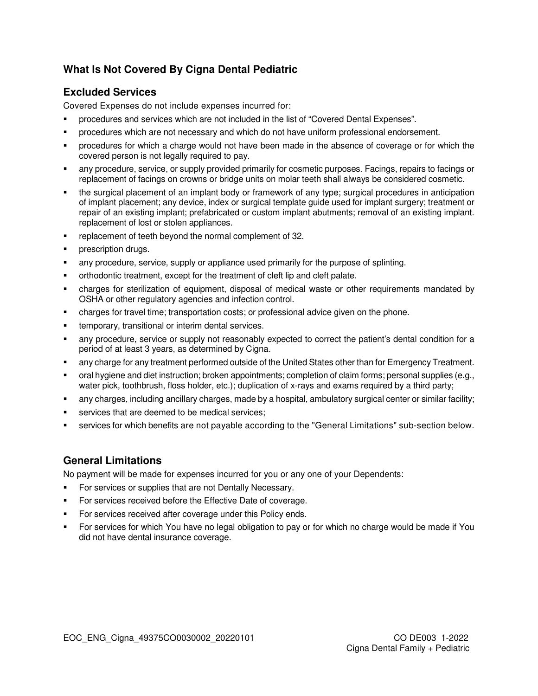## **What Is Not Covered By Cigna Dental Pediatric**

### **Excluded Services**

Covered Expenses do not include expenses incurred for:

- procedures and services which are not included in the list of "Covered Dental Expenses".
- procedures which are not necessary and which do not have uniform professional endorsement.
- procedures for which a charge would not have been made in the absence of coverage or for which the covered person is not legally required to pay.
- any procedure, service, or supply provided primarily for cosmetic purposes. Facings, repairs to facings or replacement of facings on crowns or bridge units on molar teeth shall always be considered cosmetic.
- the surgical placement of an implant body or framework of any type; surgical procedures in anticipation of implant placement; any device, index or surgical template guide used for implant surgery; treatment or repair of an existing implant; prefabricated or custom implant abutments; removal of an existing implant. replacement of lost or stolen appliances.
- replacement of teeth beyond the normal complement of 32.
- **•** prescription drugs.
- any procedure, service, supply or appliance used primarily for the purpose of splinting.
- orthodontic treatment, except for the treatment of cleft lip and cleft palate.
- charges for sterilization of equipment, disposal of medical waste or other requirements mandated by OSHA or other regulatory agencies and infection control.
- charges for travel time; transportation costs; or professional advice given on the phone.
- temporary, transitional or interim dental services.
- any procedure, service or supply not reasonably expected to correct the patient's dental condition for a period of at least 3 years, as determined by Cigna.
- any charge for any treatment performed outside of the United States other than for Emergency Treatment.
- oral hygiene and diet instruction; broken appointments; completion of claim forms; personal supplies (e.g., water pick, toothbrush, floss holder, etc.); duplication of x-rays and exams required by a third party;
- any charges, including ancillary charges, made by a hospital, ambulatory surgical center or similar facility;
- services that are deemed to be medical services;
- services for which benefits are not payable according to the "General Limitations" sub-section below.

## **General Limitations**

No payment will be made for expenses incurred for you or any one of your Dependents:

- For services or supplies that are not Dentally Necessary.
- For services received before the Effective Date of coverage.
- For services received after coverage under this Policy ends.
- For services for which You have no legal obligation to pay or for which no charge would be made if You did not have dental insurance coverage.